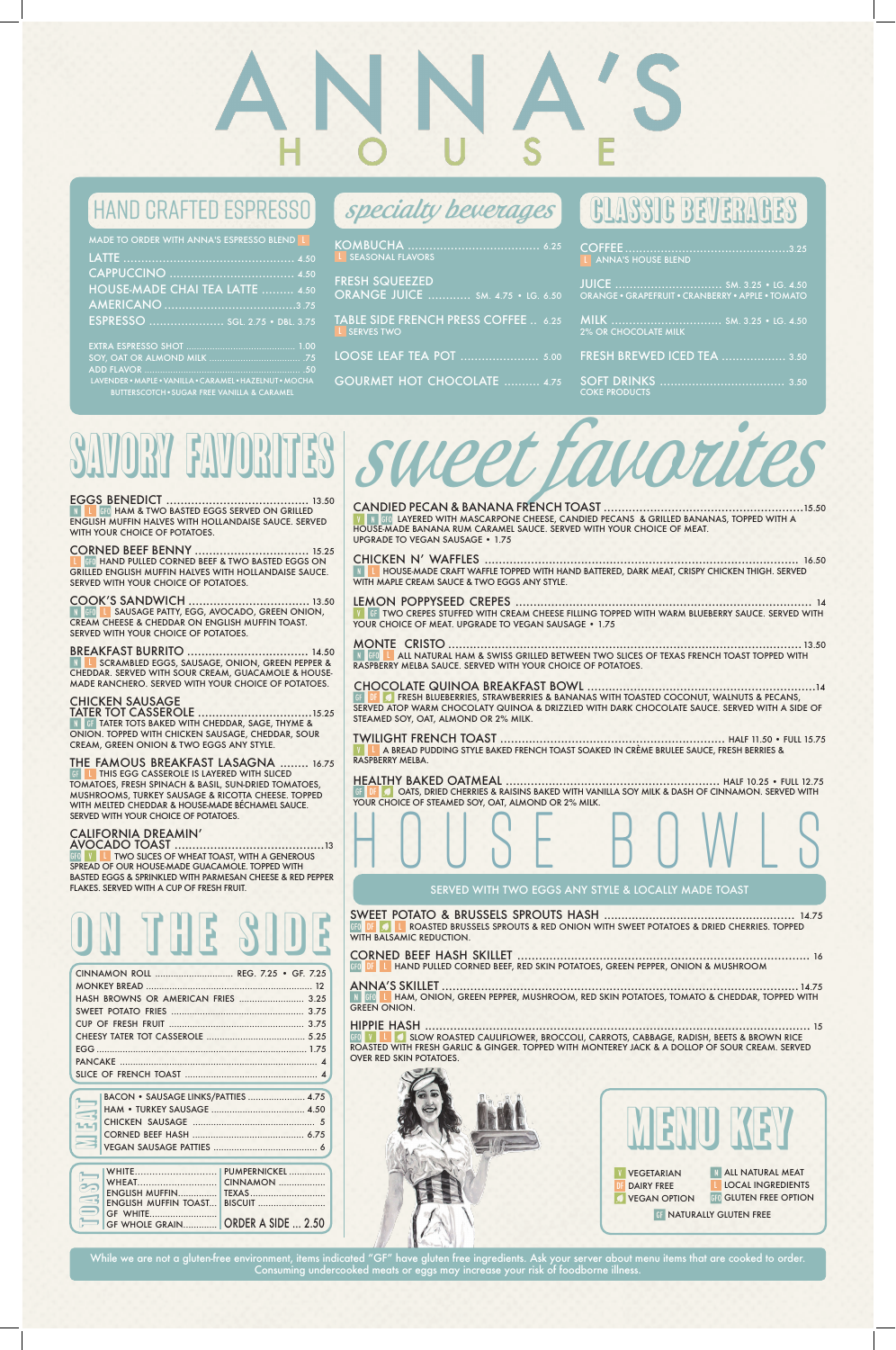# HAND CRAFTED ESPRESSO (*specialty beverages* CLASSIC BEVERAGES

| L ANNA'S HOUSE BLEND                             |
|--------------------------------------------------|
| ORANGE . GRAPEFRUIT . CRANBERRY . APPLE . TOMATO |
| <b>2% OR CHOCOLATE MILK</b>                      |
| <b>FRESH BREWED ICED TEA  3.50</b>               |
| <b>COKE PRODUCTS</b>                             |

| MADE TO ORDER WITH ANNA'S ESPRESSO BLEND L |
|--------------------------------------------|
|                                            |
|                                            |
| <b>HOUSE-MADE CHAI TEA LATTE  4.50</b>     |
|                                            |
| ESPRESSO  SGL. 2.75 . DBL. 3.75            |
|                                            |
|                                            |
|                                            |
|                                            |

**LAYERED WITH MASCARPONE CHEESE, CANDIED PECANS & GRILLED BANANAS, TOPPED WITH A** HOUSE-MADE BANANA RUM CARAMEL SAUCE. SERVED WITH YOUR CHOICE OF MEAT. UPGRADE TO VEGAN SAUSAGE • 1.75

CHICKEN N' WAFFLES ........................................................................................ 16.50 L HOUSE-MADE CRAFT WAFFLE TOPPED WITH HAND BATTERED, DARK MEAT, CRISPY CHICKEN THIGH. SERVED WITH MAPLE CREAM SAUCE & TWO EGGS ANY STYLE.

LAVENDER•MAPLE•VANILLA•CARAMEL•HAZELNUT•MOCHA BUTTERSCOTCH•SUGAR FREE VANILLA & CARAMEL

KOMBUCHA ..................................... 6.25 L SEASONAL FLAVORS

**GF TWO CREPES STUFFED WITH CREAM CHEESE FILLING TOPPED WITH WARM BLUEBERRY SAUCE. SERVED WITH** YOUR CHOICE OF MEAT. UPGRADE TO VEGAN SAUSAGE • 1.75

FRESH SQUEEZED ORANGE JUICE ............ SM. 4.75 • LG. 6.50

TABLE SIDE FRENCH PRESS COFFEE .. 6.25 L SERVES TWO

LOOSE LEAF TEA POT ...................... 5.00

GOURMET HOT CHOCOLATE .......... 4.75

# sweet favorites

## CANDIED PECAN & BANANA FRENCH TOAST ........................................................15.50

**FRESH BLUEBERRIES, STRAWBERRIES & BANANAS WITH TOASTED COCONUT, WALNUTS & PECANS,** SERVED ATOP WARM CHOCOLATY QUINOA & DRIZZLED WITH DARK CHOCOLATE SAUCE. SERVED WITH A SIDE OF STEAMED SOY, OAT, ALMOND OR 2% MILK.

**GFO** HAND PULLED CORNED BEEF & TWO BASTED EGGS ON GRILLED ENGLISH MUFFIN HALVES WITH HOLLANDAISE SAUCE. SERVED WITH YOUR CHOICE OF POTATOES.

# LEMON POPPYSEED CREPES ................................................................................... 14

SCRAMBLED EGGS, SAUSAGE, ONION, GREEN PEPPER & CHEDDAR. SERVED WITH SOUR CREAM, GUACAMOLE & HOUSE-MADE RANCHERO. SERVED WITH YOUR CHOICE OF POTATOES.

MONTE CRISTO ................................................................................................... 13.50 N GFO LALL NATURAL HAM & SWISS GRILLED BETWEEN TWO SLICES OF TEXAS FRENCH TOAST TOPPED WITH RASPBERRY MELBA SAUCE. SERVED WITH YOUR CHOICE OF POTATOES.

# CHOCOLATE QUINOA BREAKFAST BOWL ................................................................14

TWILIGHT FRENCH TOAST ............................................................... HALF 11.50 • FULL 15.75 A BREAD PUDDING STYLE BAKED FRENCH TOAST SOAKED IN CRÈME BRULEE SAUCE, FRESH BERRIES & RASPBERRY MELBA.

HEALTHY BAKED OATMEAL ............................................................ HALF 10.25 • FULL 12.75 OATS, DRIED CHERRIES & RAISINS BAKED WITH VANILLA SOY MILK & DASH OF CINNAMON. SERVED WITH YOUR CHOICE OF STEAMED SOY, OAT, ALMOND OR 2% MILK.

# SAVORY favorites

EGGS BENEDICT ........................................ 13.50 **GFO HAM & TWO BASTED EGGS SERVED ON GRILLED** ENGLISH MUFFIN HALVES WITH HOLLANDAISE SAUCE. SERVED WITH YOUR CHOICE OF POTATOES.

## CORNED BEEF BENNY ................................ 15.25

# COOK'S SANDWICH .................................. 13.50

L SAUSAGE PATTY, EGG, AVOCADO, GREEN ONION, N GFO CREAM CHEESE & CHEDDAR ON ENGLISH MUFFIN TOAST. SERVED WITH YOUR CHOICE OF POTATOES.

# BREAKFAST BURRITO .................................. 14.50

## CHICKEN SAUSAGE

TATER TOT CASSEROLE ................................15.25 TATER TOTS BAKED WITH CHEDDAR, SAGE, THYME & ONION. TOPPED WITH CHICKEN SAUSAGE, CHEDDAR, SOUR CREAM, GREEN ONION & TWO EGGS ANY STYLE.

THE FAMOUS BREAKFAST LASAGNA ........ 16.75 THIS EGG CASSEROLE IS LAYERED WITH SLICED TOMATOES, FRESH SPINACH & BASIL, SUN-DRIED TOMATOES, MUSHROOMS, TURKEY SAUSAGE & RICOTTA CHEESE. TOPPED WITH MELTED CHEDDAR & HOUSE-MADE BÉCHAMEL SAUCE. SERVED WITH YOUR CHOICE OF POTATOES.

# CALIFORNIA DREAMIN'

AVOCADO TOAST ..........................................13 L TWO SLICES OF WHEAT TOAST, WITH A GENEROUS SPREAD OF OUR HOUSE-MADE GUACAMOLE. TOPPED WITH BASTED EGGS & SPRINKLED WITH PARMESAN CHEESE & RED PEPPER FLAKES. SERVED WITH A CUP OF FRESH FRUIT.

HOUSE BOWLS

SWEET POTATO & BRUSSELS SPROUTS HASH ....................................................... 14.75

DF L ROASTED BRUSSELS SPROUTS & RED ONION WITH SWEET POTATOES & DRIED CHERRIES. TOPPED WITH BALSAMIC REDUCTION.

## CORNED BEEF HASH SKILLET .................................................................................. 16 DF L HAND PULLED CORNED BEEF, RED SKIN POTATOES, GREEN PEPPER, ONION & MUSHROOM

ANNA'S SKILLET .................................................................................................... 14.75 L HAM, ONION, GREEN PEPPER, MUSHROOM, RED SKIN POTATOES, TOMATO & CHEDDAR, TOPPED WITH GREEN ONION.

HIPPIE HASH ............................................................................................................ 15 LA SLOW ROASTED CAULIFLOWER, BROCCOLI, CARROTS, CABBAGE, RADISH, BEETS & BROWN RICE ROASTED WITH FRESH GARLIC & GINGER. TOPPED WITH MONTEREY JACK & A DOLLOP OF SOUR CREAM. SERVED OVER RED SKIN POTATOES.

SERVED WITH TWO EGGS ANY STYLE & LOCALLY MADE TOAST

While we are not a gluten-free environment, items indicated "GF" have gluten free ingredients. Ask your server about menu items that are cooked to order. Consuming undercooked meats or eggs may increase your risk of foodborne illness.

|                          | BACON · SAUSAGE LINKS/PATTIES  4.75 |  |
|--------------------------|-------------------------------------|--|
| <u> a serial de la p</u> |                                     |  |
|                          |                                     |  |
|                          |                                     |  |
|                          |                                     |  |

| CINNAMON ROLL  REG. 7.25 • GF. 7.25 |  |
|-------------------------------------|--|
|                                     |  |
| HASH BROWNS OR AMERICAN FRIES  3.25 |  |
|                                     |  |
|                                     |  |
|                                     |  |
|                                     |  |
|                                     |  |
|                                     |  |

| $\epsilon$ |                          |  |
|------------|--------------------------|--|
|            |                          |  |
|            | <b>SE WHITE</b>          |  |
|            | <b>CHECK ASIDE  2.50</b> |  |



# ON THE SIDE